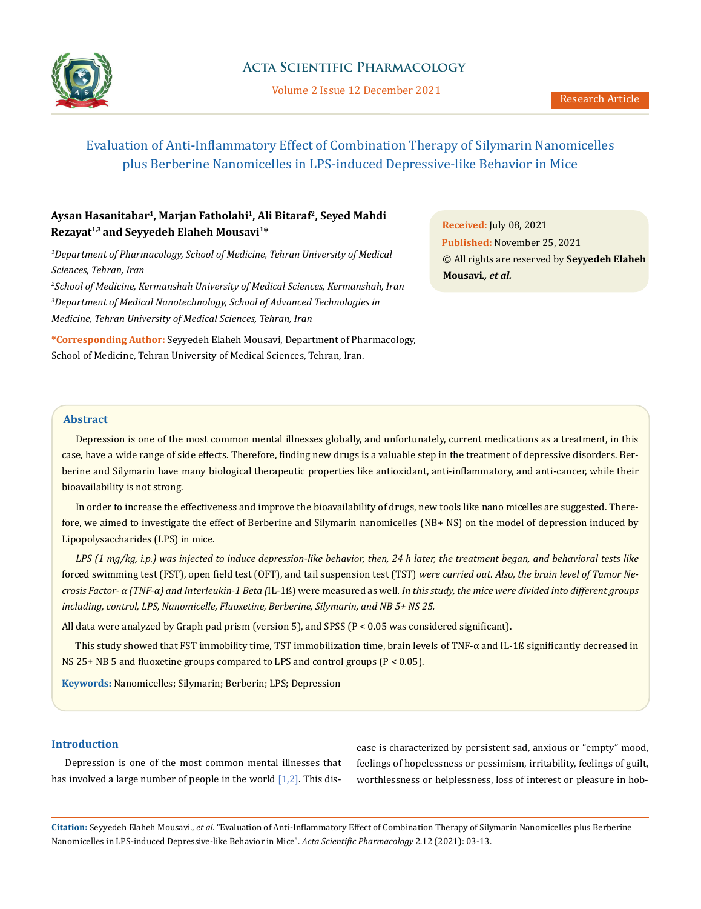

### **Acta Scientific Pharmacology**

Volume 2 Issue 12 December 2021

# Evaluation of Anti-Inflammatory Effect of Combination Therapy of Silymarin Nanomicelles plus Berberine Nanomicelles in LPS-induced Depressive-like Behavior in Mice

# **Aysan Hasanitabar1, Marjan Fatholahi1, Ali Bitaraf2, Seyed Mahdi Rezayat1,3 and Seyyedeh Elaheh Mousavi1\***

<sup>1</sup>Department of Pharmacology, School of Medicine, Tehran University of Medical *Sciences, Tehran, Iran 2 School of Medicine, Kermanshah University of Medical Sciences, Kermanshah, Iran 3 Department of Medical Nanotechnology, School of Advanced Technologies in Medicine, Tehran University of Medical Sciences, Tehran, Iran*

**\*Corresponding Author:** Seyyedeh Elaheh Mousavi, Department of Pharmacology, School of Medicine, Tehran University of Medical Sciences, Tehran, Iran.

**Received:** July 08, 2021 **Published:** November 25, 2021 © All rights are reserved by **Seyyedeh Elaheh Mousavi***., et al.*

#### **Abstract**

Depression is one of the most common mental illnesses globally, and unfortunately, current medications as a treatment, in this case, have a wide range of side effects. Therefore, finding new drugs is a valuable step in the treatment of depressive disorders. Berberine and Silymarin have many biological therapeutic properties like antioxidant, anti-inflammatory, and anti-cancer, while their bioavailability is not strong.

In order to increase the effectiveness and improve the bioavailability of drugs, new tools like nano micelles are suggested. Therefore, we aimed to investigate the effect of Berberine and Silymarin nanomicelles (NB+ NS) on the model of depression induced by Lipopolysaccharides (LPS) in mice.

*LPS (1 mg/kg, i.p.) was injected to induce depression-like behavior, then, 24 h later, the treatment began, and behavioral tests like*  forced swimming test (FST), open field test (OFT), and tail suspension test (TST) *were carried out. Also, the brain level of Tumor Necrosis Factor- α (TNF-α) and Interleukin-1 Beta (*IL-1ß) were measured as well*. In this study, the mice were divided into different groups including, control, LPS, Nanomicelle, Fluoxetine, Berberine, Silymarin, and NB 5+ NS 25.*

All data were analyzed by Graph pad prism (version 5), and SPSS ( $P < 0.05$  was considered significant).

This study showed that FST immobility time, TST immobilization time, brain levels of TNF- $\alpha$  and IL-1ß significantly decreased in NS 25+ NB 5 and fluoxetine groups compared to LPS and control groups (P < 0.05).

**Keywords:** Nanomicelles; Silymarin; Berberin; LPS; Depression

#### **Introduction**

Depression is one of the most common mental illnesses that has involved a large number of people in the world  $[1,2]$ . This disease is characterized by persistent sad, anxious or "empty" mood, feelings of hopelessness or pessimism, irritability, feelings of guilt, worthlessness or helplessness, loss of interest or pleasure in hob-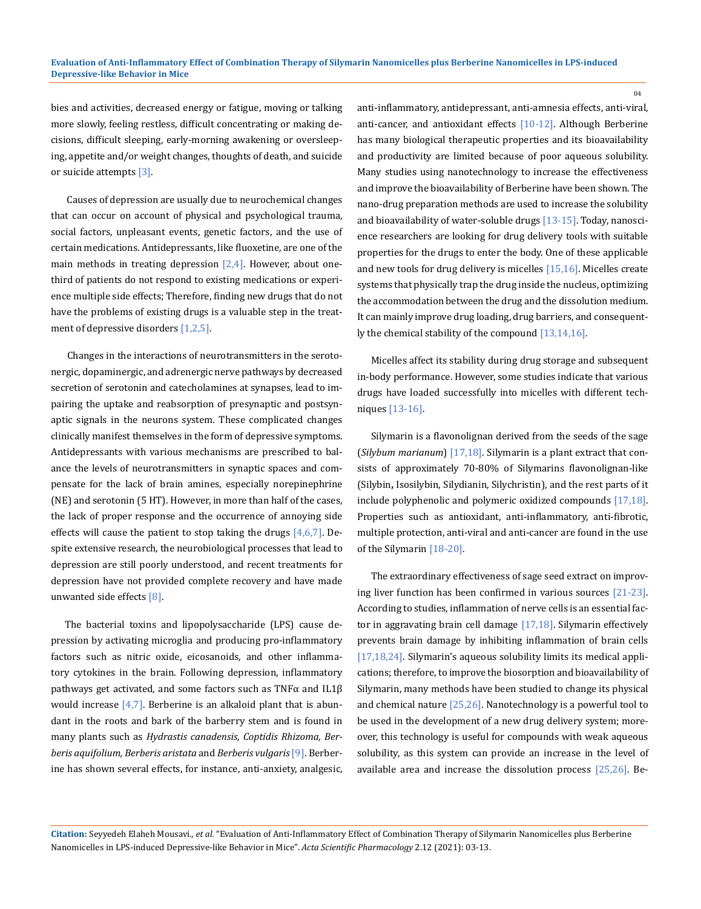bies and activities, decreased energy or fatigue, moving or talking more slowly, feeling restless, difficult concentrating or making decisions, difficult sleeping, early-morning awakening or oversleeping, appetite and/or weight changes, thoughts of death, and suicide or suicide attempts [3].

 Causes of depression are usually due to neurochemical changes that can occur on account of physical and psychological trauma, social factors, unpleasant events, genetic factors, and the use of certain medications. Antidepressants, like fluoxetine, are one of the main methods in treating depression  $[2,4]$ . However, about onethird of patients do not respond to existing medications or experience multiple side effects; Therefore, finding new drugs that do not have the problems of existing drugs is a valuable step in the treatment of depressive disorders [1,2,5].

 Changes in the interactions of neurotransmitters in the serotonergic, dopaminergic, and adrenergic nerve pathways by decreased secretion of serotonin and catecholamines at synapses, lead to impairing the uptake and reabsorption of presynaptic and postsynaptic signals in the neurons system. These complicated changes clinically manifest themselves in the form of depressive symptoms. Antidepressants with various mechanisms are prescribed to balance the levels of neurotransmitters in synaptic spaces and compensate for the lack of brain amines, especially norepinephrine (NE) and serotonin (5 HT). However, in more than half of the cases, the lack of proper response and the occurrence of annoying side effects will cause the patient to stop taking the drugs [4,6,7]. Despite extensive research, the neurobiological processes that lead to depression are still poorly understood, and recent treatments for depression have not provided complete recovery and have made unwanted side effects [8].

The bacterial toxins and lipopolysaccharide (LPS) cause depression by activating microglia and producing pro-inflammatory factors such as nitric oxide, eicosanoids, and other inflammatory cytokines in the brain. Following depression, inflammatory pathways get activated, and some factors such as TNFα and IL1β would increase  $[4,7]$ . Berberine is an alkaloid plant that is abundant in the roots and bark of the barberry stem and is found in many plants such as *Hydrastis canadensis, Coptidis Rhizoma, Berberis aquifolium, Berberis aristata* and *Berberis vulgaris*[9]. Berberine has shown several effects, for instance, anti-anxiety, analgesic, anti-inflammatory, antidepressant, anti-amnesia effects, anti-viral, anti-cancer, and antioxidant effects [10-12]. Although Berberine has many biological therapeutic properties and its bioavailability and productivity are limited because of poor aqueous solubility. Many studies using nanotechnology to increase the effectiveness and improve the bioavailability of Berberine have been shown. The nano-drug preparation methods are used to increase the solubility and bioavailability of water-soluble drugs [13-15]. Today, nanoscience researchers are looking for drug delivery tools with suitable properties for the drugs to enter the body. One of these applicable and new tools for drug delivery is micelles [15,16]. Micelles create systems that physically trap the drug inside the nucleus, optimizing the accommodation between the drug and the dissolution medium. It can mainly improve drug loading, drug barriers, and consequently the chemical stability of the compound [13,14,16].

 $04$ 

Micelles affect its stability during drug storage and subsequent in-body performance. However, some studies indicate that various drugs have loaded successfully into micelles with different techniques [13-16].

Silymarin is a flavonolignan derived from the seeds of the sage (*Silybum marianum*) [17,18]. Silymarin is a plant extract that consists of approximately 70-80% of Silymarins flavonolignan-like (Silybin**,** Isosilybin, Silydianin, Silychristin), and the rest parts of it include polyphenolic and polymeric oxidized compounds [17,18]. Properties such as antioxidant, anti-inflammatory, anti-fibrotic, multiple protection, anti-viral and anti-cancer are found in the use of the Silymarin [18-20].

The extraordinary effectiveness of sage seed extract on improving liver function has been confirmed in various sources [21-23]. According to studies, inflammation of nerve cells is an essential factor in aggravating brain cell damage  $[17,18]$ . Silymarin effectively prevents brain damage by inhibiting inflammation of brain cells [17,18,24]. Silymarin's aqueous solubility limits its medical applications; therefore, to improve the biosorption and bioavailability of Silymarin, many methods have been studied to change its physical and chemical nature [25,26]. Nanotechnology is a powerful tool to be used in the development of a new drug delivery system; moreover, this technology is useful for compounds with weak aqueous solubility, as this system can provide an increase in the level of available area and increase the dissolution process [25,26]. Be-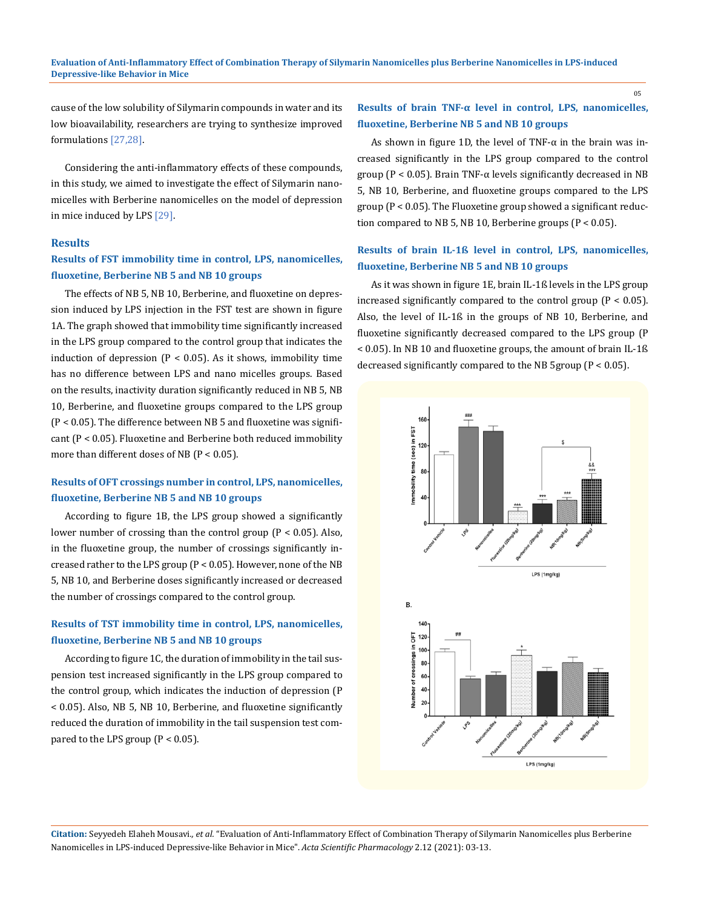cause of the low solubility of Silymarin compounds in water and its low bioavailability, researchers are trying to synthesize improved formulations [27,28].

Considering the anti-inflammatory effects of these compounds, in this study, we aimed to investigate the effect of Silymarin nanomicelles with Berberine nanomicelles on the model of depression in mice induced by LPS [29].

#### **Results**

### **Results of FST immobility time in control, LPS, nanomicelles, fluoxetine, Berberine NB 5 and NB 10 groups**

The effects of NB 5, NB 10, Berberine, and fluoxetine on depression induced by LPS injection in the FST test are shown in figure 1A. The graph showed that immobility time significantly increased in the LPS group compared to the control group that indicates the induction of depression ( $P < 0.05$ ). As it shows, immobility time has no difference between LPS and nano micelles groups. Based on the results, inactivity duration significantly reduced in NB 5, NB 10, Berberine, and fluoxetine groups compared to the LPS group (P < 0.05). The difference between NB 5 and fluoxetine was significant (P < 0.05). Fluoxetine and Berberine both reduced immobility more than different doses of NB (P < 0.05).

### **Results of OFT crossings number in control, LPS, nanomicelles, fluoxetine, Berberine NB 5 and NB 10 groups**

According to figure 1B, the LPS group showed a significantly lower number of crossing than the control group (P < 0.05). Also, in the fluoxetine group, the number of crossings significantly increased rather to the LPS group (P < 0.05). However, none of the NB 5, NB 10, and Berberine doses significantly increased or decreased the number of crossings compared to the control group.

### **Results of TST immobility time in control, LPS, nanomicelles, fluoxetine, Berberine NB 5 and NB 10 groups**

According to figure 1C, the duration of immobility in the tail suspension test increased significantly in the LPS group compared to the control group, which indicates the induction of depression (P < 0.05). Also, NB 5, NB 10, Berberine, and fluoxetine significantly reduced the duration of immobility in the tail suspension test compared to the LPS group  $(P < 0.05)$ .

#### **Results of brain TNF-α level in control, LPS, nanomicelles, fluoxetine, Berberine NB 5 and NB 10 groups**

As shown in figure 1D, the level of  $TNF-\alpha$  in the brain was increased significantly in the LPS group compared to the control group ( $P < 0.05$ ). Brain TNF- $\alpha$  levels significantly decreased in NB 5, NB 10, Berberine, and fluoxetine groups compared to the LPS group (P < 0.05). The Fluoxetine group showed a significant reduction compared to NB 5, NB 10, Berberine groups (P < 0.05).

#### **Results of brain IL-1ß level in control, LPS, nanomicelles, fluoxetine, Berberine NB 5 and NB 10 groups**

As it was shown in figure 1E, brain IL-1ß levels in the LPS group increased significantly compared to the control group ( $P < 0.05$ ). Also, the level of IL-1ß in the groups of NB 10, Berberine, and fluoxetine significantly decreased compared to the LPS group (P < 0.05). In NB 10 and fluoxetine groups, the amount of brain IL-1ß decreased significantly compared to the NB 5group (P < 0.05).



**Citation:** Seyyedeh Elaheh Mousavi*., et al.* "Evaluation of Anti-Inflammatory Effect of Combination Therapy of Silymarin Nanomicelles plus Berberine Nanomicelles in LPS-induced Depressive-like Behavior in Mice". *Acta Scientific Pharmacology* 2.12 (2021): 03-13.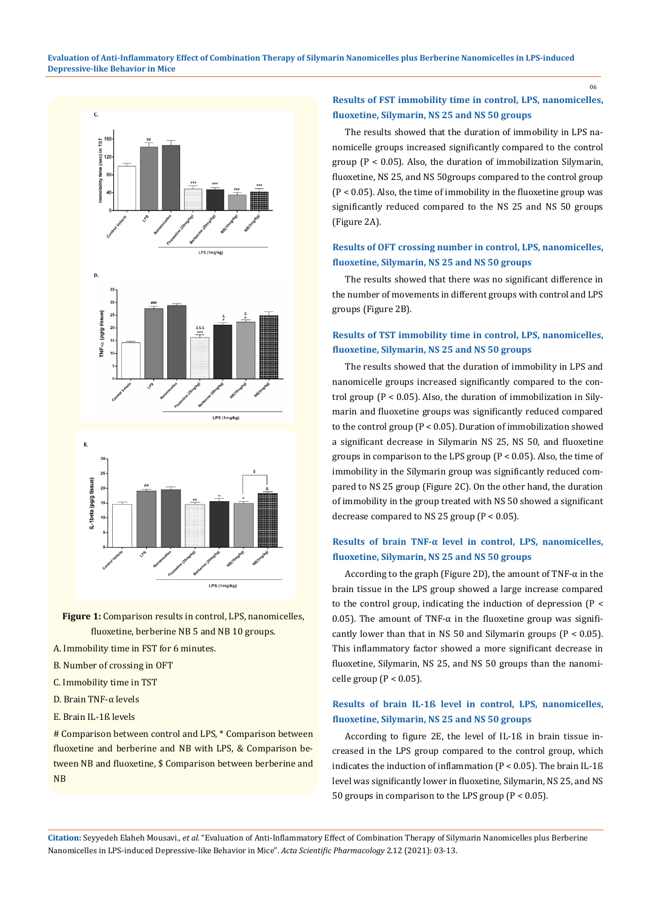



- **Figure 1:** Comparison results in control, LPS, nanomicelles, fluoxetine, berberine NB 5 and NB 10 groups.
- A. Immobility time in FST for 6 minutes.
- B. Number of crossing in OFT
- C. Immobility time in TST
- D. Brain TNF-α levels
- E. Brain IL-1ß levels

# Comparison between control and LPS, \* Comparison between fluoxetine and berberine and NB with LPS, & Comparison between NB and fluoxetine, \$ Comparison between berberine and NB

## **Results of FST immobility time in control, LPS, nanomicelles, fluoxetine, Silymarin, NS 25 and NS 50 groups**

The results showed that the duration of immobility in LPS nanomicelle groups increased significantly compared to the control group (P < 0.05). Also, the duration of immobilization Silymarin, fluoxetine, NS 25, and NS 50groups compared to the control group (P < 0.05). Also, the time of immobility in the fluoxetine group was significantly reduced compared to the NS 25 and NS 50 groups (Figure 2A).

### **Results of OFT crossing number in control, LPS, nanomicelles, fluoxetine, Silymarin, NS 25 and NS 50 groups**

The results showed that there was no significant difference in the number of movements in different groups with control and LPS groups (Figure 2B).

### **Results of TST immobility time in control, LPS, nanomicelles, fluoxetine, Silymarin, NS 25 and NS 50 groups**

The results showed that the duration of immobility in LPS and nanomicelle groups increased significantly compared to the control group ( $P < 0.05$ ). Also, the duration of immobilization in Silymarin and fluoxetine groups was significantly reduced compared to the control group (P < 0.05). Duration of immobilization showed a significant decrease in Silymarin NS 25, NS 50, and fluoxetine groups in comparison to the LPS group (P < 0.05). Also, the time of immobility in the Silymarin group was significantly reduced compared to NS 25 group (Figure 2C). On the other hand, the duration of immobility in the group treated with NS 50 showed a significant decrease compared to NS 25 group (P < 0.05).

## **Results of brain TNF-α level in control, LPS, nanomicelles, fluoxetine, Silymarin, NS 25 and NS 50 groups**

According to the graph (Figure 2D), the amount of TNF- $\alpha$  in the brain tissue in the LPS group showed a large increase compared to the control group, indicating the induction of depression (P < 0.05). The amount of TNF- $\alpha$  in the fluoxetine group was significantly lower than that in NS 50 and Silymarin groups ( $P < 0.05$ ). This inflammatory factor showed a more significant decrease in fluoxetine, Silymarin, NS 25, and NS 50 groups than the nanomicelle group ( $P < 0.05$ ).

## **Results of brain IL-1ß level in control, LPS, nanomicelles, fluoxetine, Silymarin, NS 25 and NS 50 groups**

According to figure 2E, the level of IL-1ß in brain tissue increased in the LPS group compared to the control group, which indicates the induction of inflammation (P < 0.05). The brain IL-1ß level was significantly lower in fluoxetine, Silymarin, NS 25, and NS 50 groups in comparison to the LPS group (P < 0.05).

**Citation:** Seyyedeh Elaheh Mousavi*., et al.* "Evaluation of Anti-Inflammatory Effect of Combination Therapy of Silymarin Nanomicelles plus Berberine Nanomicelles in LPS-induced Depressive-like Behavior in Mice". *Acta Scientific Pharmacology* 2.12 (2021): 03-13.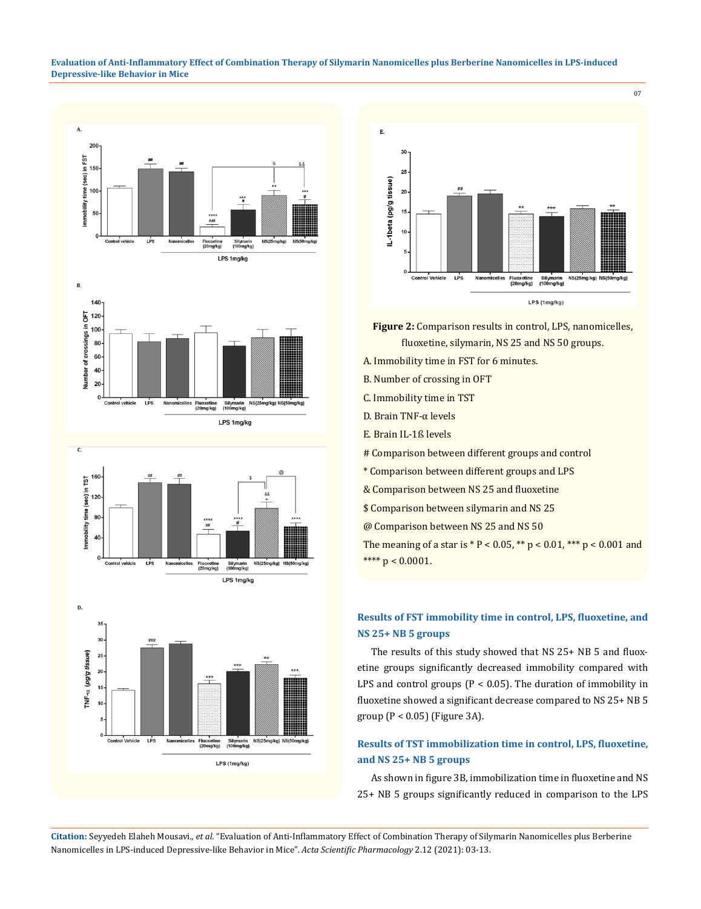#### **Evaluation of Anti-Inflammatory Effect of Combination Therapy of Silymarin Nanomicelles plus Berberine Nanomicelles in LPS-induced Depressive-like Behavior in Mice**



Fluoxetine<br>(20mg/kg)

Silymarin<br>(100mg/kg) **NS(2)** g/kg)

LPS 1mg/kg

 $\frac{1}{2}$ Nan "<br>micelles



 $\mathbf{E}$ .  $30$ 25 IL-1beta (pg/g tissue) 20  $15$  $10$  $c<sub>o</sub>$ ol Vehicle LPS Nanomicelles Fluoxetine<br>(20mg/kg) Silymarin<br>(100mg/kg) g/kg) NS(5 LPS (1mg/kg)

07

- **Figure 2:** Comparison results in control, LPS, nanomicelles, fluoxetine, silymarin, NS 25 and NS 50 groups.
- A. Immobility time in FST for 6 minutes.
- B. Number of crossing in OFT
- C. Immobility time in TST
- D. Brain TNF-α levels
- E. Brain IL-1ß levels
- # Comparison between different groups and control
- \* Comparison between different groups and LPS
- & Comparison between NS 25 and fluoxetine
- \$ Comparison between silymarin and NS 25
- @ Comparison between NS 25 and NS 50

The meaning of a star is  $* P < 0.05$ ,  $** p < 0.01$ ,  $*** p < 0.001$  and \*\*\*\*  $p < 0.0001$ .

# **Results of FST immobility time in control, LPS, fluoxetine, and NS 25+ NB 5 groups**

The results of this study showed that NS 25+ NB 5 and fluoxetine groups significantly decreased immobility compared with LPS and control groups ( $P < 0.05$ ). The duration of immobility in fluoxetine showed a significant decrease compared to NS 25+ NB 5 group (P < 0.05) (Figure 3A).

### **Results of TST immobilization time in control, LPS, fluoxetine, and NS 25+ NB 5 groups**

As shown in figure 3B, immobilization time in fluoxetine and NS 25+ NB 5 groups significantly reduced in comparison to the LPS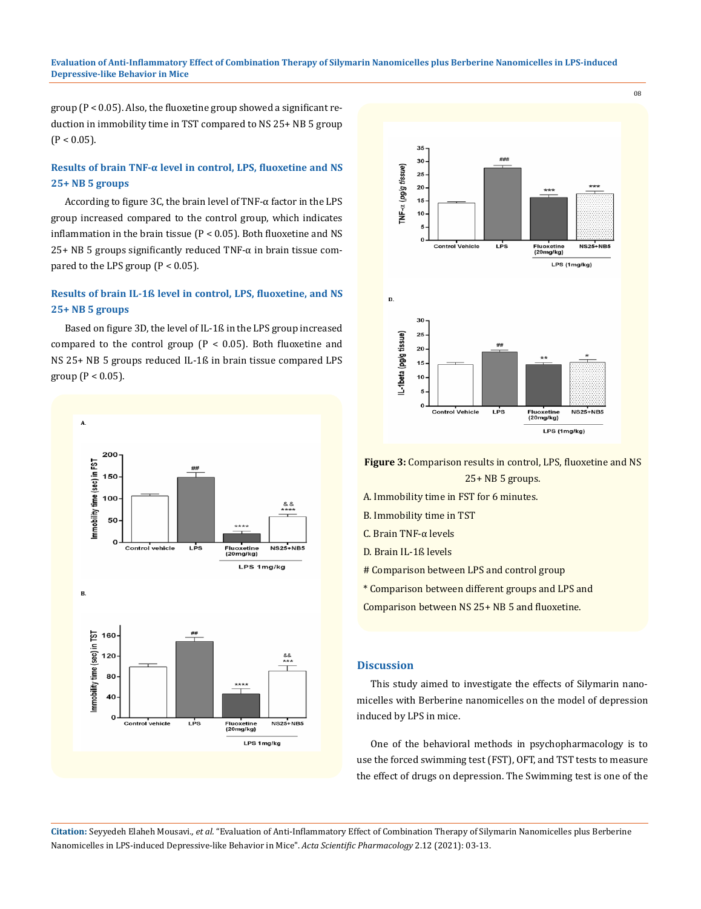#### **Evaluation of Anti-Inflammatory Effect of Combination Therapy of Silymarin Nanomicelles plus Berberine Nanomicelles in LPS-induced Depressive-like Behavior in Mice**

group (P < 0.05). Also, the fluoxetine group showed a significant reduction in immobility time in TST compared to NS 25+ NB 5 group  $(P < 0.05)$ .

### **Results of brain TNF-α level in control, LPS, fluoxetine and NS 25+ NB 5 groups**

According to figure 3C, the brain level of TNF-α factor in the LPS group increased compared to the control group, which indicates inflammation in the brain tissue  $(P < 0.05)$ . Both fluoxetine and NS  $25+ NB$  5 groups significantly reduced TNF- $\alpha$  in brain tissue compared to the LPS group  $(P < 0.05)$ .

# **Results of brain IL-1ß level in control, LPS, fluoxetine, and NS 25+ NB 5 groups**

Based on figure 3D, the level of IL-1ß in the LPS group increased compared to the control group  $(P < 0.05)$ . Both fluoxetine and NS 25+ NB 5 groups reduced IL-1ß in brain tissue compared LPS group ( $P < 0.05$ ).





**Figure 3:** Comparison results in control, LPS, fluoxetine and NS 25+ NB 5 groups.

- A. Immobility time in FST for 6 minutes.
- B. Immobility time in TST
- C. Brain TNF-α levels
- D. Brain IL-1ß levels
- # Comparison between LPS and control group
- \* Comparison between different groups and LPS and
- Comparison between NS 25+ NB 5 and fluoxetine.

#### **Discussion**

This study aimed to investigate the effects of Silymarin nanomicelles with Berberine nanomicelles on the model of depression induced by LPS in mice.

One of the behavioral methods in psychopharmacology is to use the forced swimming test (FST), OFT, and TST tests to measure the effect of drugs on depression. The Swimming test is one of the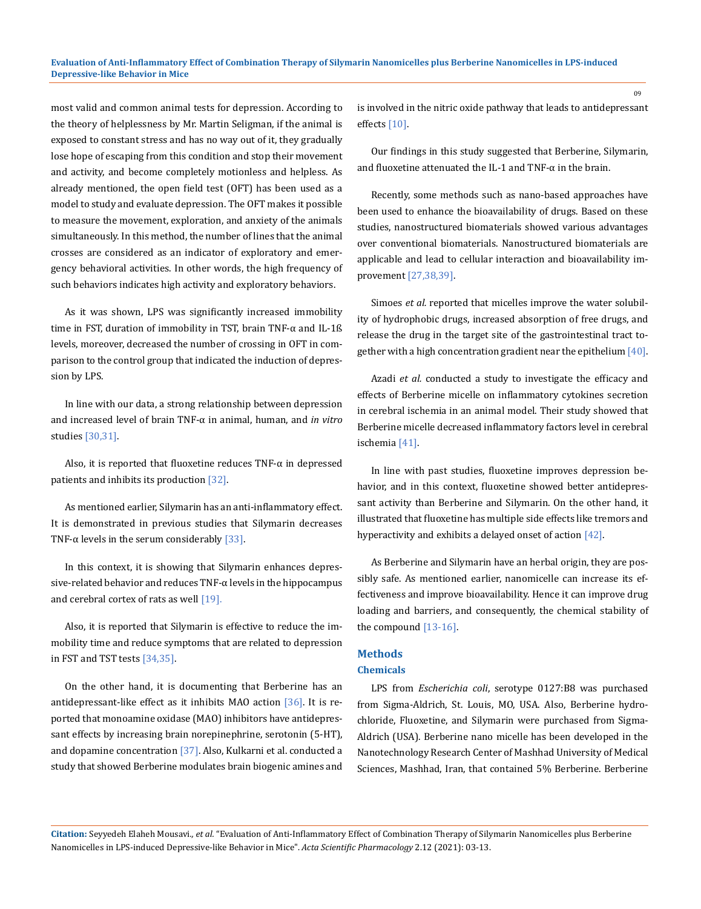most valid and common animal tests for depression. According to the theory of helplessness by Mr. Martin Seligman, if the animal is exposed to constant stress and has no way out of it, they gradually lose hope of escaping from this condition and stop their movement and activity, and become completely motionless and helpless. As already mentioned, the open field test (OFT) has been used as a model to study and evaluate depression. The OFT makes it possible to measure the movement, exploration, and anxiety of the animals simultaneously. In this method, the number of lines that the animal crosses are considered as an indicator of exploratory and emergency behavioral activities. In other words, the high frequency of such behaviors indicates high activity and exploratory behaviors.

As it was shown, LPS was significantly increased immobility time in FST, duration of immobility in TST, brain TNF-α and IL-1ß levels, moreover, decreased the number of crossing in OFT in comparison to the control group that indicated the induction of depression by LPS.

In line with our data, a strong relationship between depression and increased level of brain TNF-α in animal, human, and *in vitro* studies [30,31].

Also, it is reported that fluoxetine reduces  $TNF-\alpha$  in depressed patients and inhibits its production [32].

As mentioned earlier, Silymarin has an anti-inflammatory effect. It is demonstrated in previous studies that Silymarin decreases TNF- $\alpha$  levels in the serum considerably [33].

In this context, it is showing that Silymarin enhances depressive-related behavior and reduces TNF-α levels in the hippocampus and cerebral cortex of rats as well [19].

Also, it is reported that Silymarin is effective to reduce the immobility time and reduce symptoms that are related to depression in FST and TST tests [34,35].

On the other hand, it is documenting that Berberine has an antidepressant-like effect as it inhibits MAO action [36]. It is reported that monoamine oxidase (MAO) inhibitors have antidepressant effects by increasing brain norepinephrine, serotonin (5-HT), and dopamine concentration [37]. Also, Kulkarni et al. conducted a study that showed Berberine modulates brain biogenic amines and is involved in the nitric oxide pathway that leads to antidepressant effects [10].

Our findings in this study suggested that Berberine, Silymarin, and fluoxetine attenuated the IL-1 and TNF- $\alpha$  in the brain.

Recently, some methods such as nano-based approaches have been used to enhance the bioavailability of drugs. Based on these studies, nanostructured biomaterials showed various advantages over conventional biomaterials. Nanostructured biomaterials are applicable and lead to cellular interaction and bioavailability improvement [27,38,39].

Simoes *et al.* reported that micelles improve the water solubility of hydrophobic drugs, increased absorption of free drugs, and release the drug in the target site of the gastrointestinal tract together with a high concentration gradient near the epithelium [40].

Azadi *et al.* conducted a study to investigate the efficacy and effects of Berberine micelle on inflammatory cytokines secretion in cerebral ischemia in an animal model. Their study showed that Berberine micelle decreased inflammatory factors level in cerebral ischemia [41].

In line with past studies, fluoxetine improves depression behavior, and in this context, fluoxetine showed better antidepressant activity than Berberine and Silymarin. On the other hand, it illustrated that fluoxetine has multiple side effects like tremors and hyperactivity and exhibits a delayed onset of action [42].

As Berberine and Silymarin have an herbal origin, they are possibly safe. As mentioned earlier, nanomicelle can increase its effectiveness and improve bioavailability. Hence it can improve drug loading and barriers, and consequently, the chemical stability of the compound [13-16].

# **Methods**

### **Chemicals**

LPS from *Escherichia coli*, serotype 0127:B8 was purchased from Sigma-Aldrich, St. Louis, MO, USA. Also, Berberine hydrochloride, Fluoxetine, and Silymarin were purchased from Sigma-Aldrich (USA). Berberine nano micelle has been developed in the Nanotechnology Research Center of Mashhad University of Medical Sciences, Mashhad, Iran, that contained 5% Berberine. Berberine

**Citation:** Seyyedeh Elaheh Mousavi*., et al.* "Evaluation of Anti-Inflammatory Effect of Combination Therapy of Silymarin Nanomicelles plus Berberine Nanomicelles in LPS-induced Depressive-like Behavior in Mice". *Acta Scientific Pharmacology* 2.12 (2021): 03-13.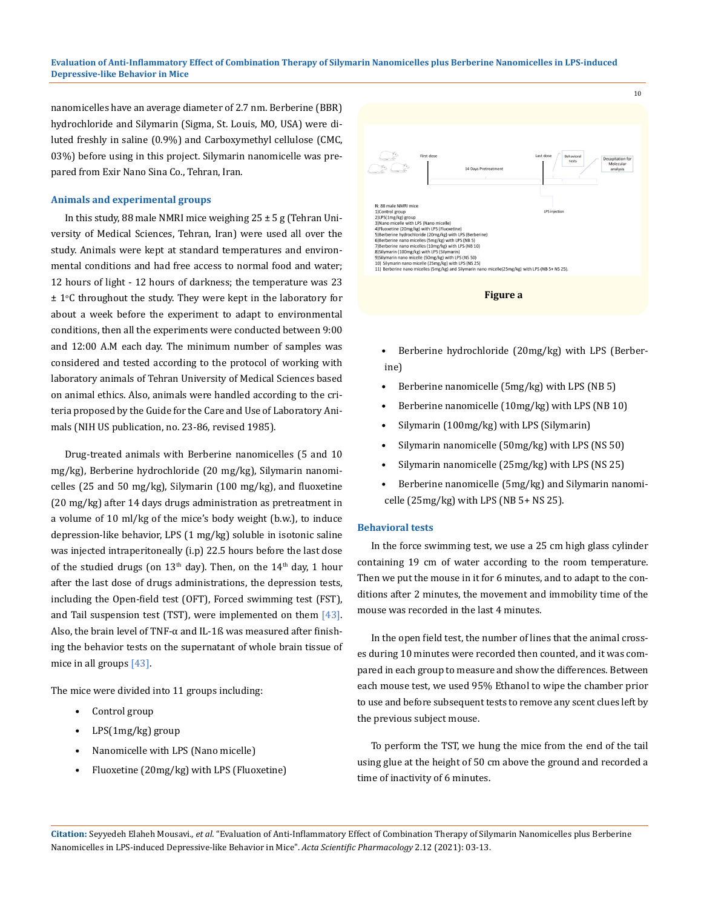#### **Evaluation of Anti-Inflammatory Effect of Combination Therapy of Silymarin Nanomicelles plus Berberine Nanomicelles in LPS-induced Depressive-like Behavior in Mice**

nanomicelles have an average diameter of 2.7 nm. Berberine (BBR) hydrochloride and Silymarin (Sigma, St. Louis, MO, USA) were diluted freshly in saline (0.9%) and Carboxymethyl cellulose (CMC, 03%) before using in this project. Silymarin nanomicelle was prepared from Exir Nano Sina Co., Tehran, Iran.

#### **Animals and experimental groups**

In this study, 88 male NMRI mice weighing  $25 \pm 5$  g (Tehran University of Medical Sciences, Tehran, Iran) were used all over the study. Animals were kept at standard temperatures and environmental conditions and had free access to normal food and water; 12 hours of light - 12 hours of darkness; the temperature was 23  $\pm$  1°C throughout the study. They were kept in the laboratory for about a week before the experiment to adapt to environmental conditions, then all the experiments were conducted between 9:00 and 12:00 A.M each day. The minimum number of samples was considered and tested according to the protocol of working with laboratory animals of Tehran University of Medical Sciences based on animal ethics. Also, animals were handled according to the criteria proposed by the Guide for the Care and Use of Laboratory Animals (NIH US publication, no. 23-86, revised 1985).

Drug-treated animals with Berberine nanomicelles (5 and 10 mg/kg), Berberine hydrochloride (20 mg/kg), Silymarin nanomicelles (25 and 50 mg/kg), Silymarin (100 mg/kg), and fluoxetine (20 mg/kg) after 14 days drugs administration as pretreatment in a volume of 10 ml/kg of the mice's body weight (b.w.), to induce depression-like behavior, LPS (1 mg/kg) soluble in isotonic saline was injected intraperitoneally (i.p) 22.5 hours before the last dose of the studied drugs (on  $13<sup>th</sup>$  day). Then, on the  $14<sup>th</sup>$  day, 1 hour after the last dose of drugs administrations, the depression tests, including the Open-field test (OFT), Forced swimming test (FST), and Tail suspension test (TST), were implemented on them  $[43]$ . Also, the brain level of TNF-α and IL-1ß was measured after finishing the behavior tests on the supernatant of whole brain tissue of mice in all groups [43].

The mice were divided into 11 groups including:

- Control group
- LPS(1mg/kg) group
- Nanomicelle with LPS (Nano micelle)
- Fluoxetine (20mg/kg) with LPS (Fluoxetine)





- Berberine hydrochloride (20mg/kg) with LPS (Berberine)
- Berberine nanomicelle (5mg/kg) with LPS (NB 5)
- Berberine nanomicelle (10mg/kg) with LPS (NB 10)
- Silymarin (100mg/kg) with LPS (Silymarin)
- Silymarin nanomicelle (50mg/kg) with LPS (NS 50)
- Silymarin nanomicelle (25mg/kg) with LPS (NS 25)
- Berberine nanomicelle (5mg/kg) and Silymarin nanomicelle (25mg/kg) with LPS (NB 5+ NS 25).

#### **Behavioral tests**

In the force swimming test, we use a 25 cm high glass cylinder containing 19 cm of water according to the room temperature. Then we put the mouse in it for 6 minutes, and to adapt to the conditions after 2 minutes, the movement and immobility time of the mouse was recorded in the last 4 minutes.

In the open field test, the number of lines that the animal crosses during 10 minutes were recorded then counted, and it was compared in each group to measure and show the differences. Between each mouse test, we used 95% Ethanol to wipe the chamber prior to use and before subsequent tests to remove any scent clues left by the previous subject mouse.

To perform the TST, we hung the mice from the end of the tail using glue at the height of 50 cm above the ground and recorded a time of inactivity of 6 minutes.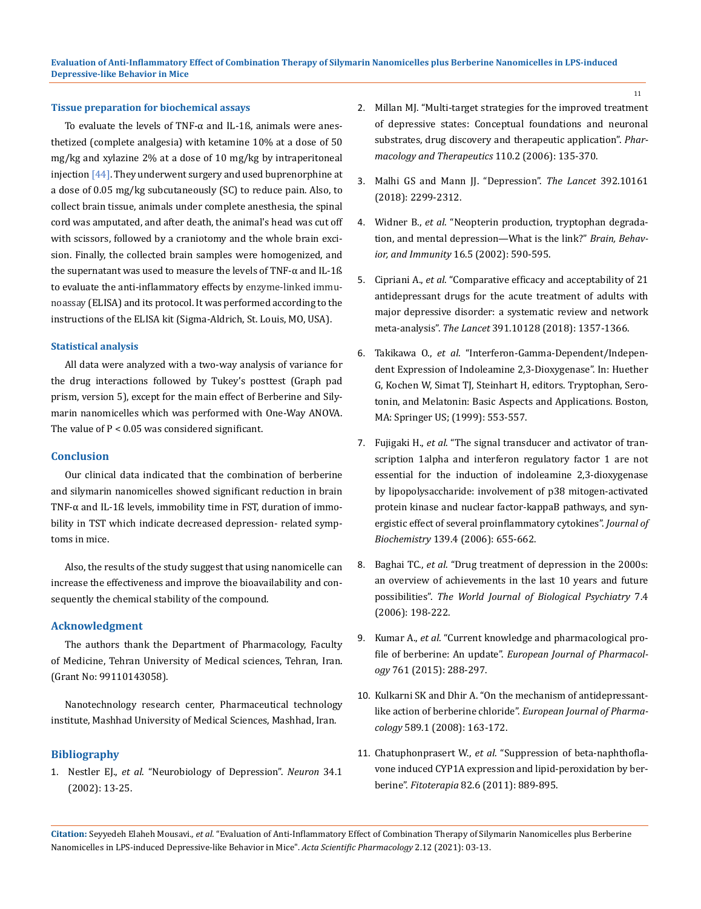#### **Tissue preparation for biochemical assays**

To evaluate the levels of TNF-α and IL-1ß, animals were anesthetized (complete analgesia) with ketamine 10% at a dose of 50 mg/kg and xylazine 2% at a dose of 10 mg/kg by intraperitoneal injection  $[44]$ . They underwent surgery and used buprenorphine at a dose of 0.05 mg/kg subcutaneously (SC) to reduce pain. Also, to collect brain tissue, animals under complete anesthesia, the spinal cord was amputated, and after death, the animal's head was cut off with scissors, followed by a craniotomy and the whole brain excision. Finally, the collected brain samples were homogenized, and the supernatant was used to measure the levels of TNF-α and IL-1ß to evaluate the anti-inflammatory effects by enzyme-linked immunoassay (ELISA) and its protocol. It was performed according to the instructions of the ELISA kit (Sigma-Aldrich, St. Louis, MO, USA).

#### **Statistical analysis**

All data were analyzed with a two-way analysis of variance for the drug interactions followed by Tukey's posttest (Graph pad prism, version 5), except for the main effect of Berberine and Silymarin nanomicelles which was performed with One-Way ANOVA. The value of P < 0.05 was considered significant.

#### **Conclusion**

Our clinical data indicated that the combination of berberine and silymarin nanomicelles showed significant reduction in brain TNF-α and IL-1ß levels, immobility time in FST, duration of immobility in TST which indicate decreased depression- related symptoms in mice.

Also, the results of the study suggest that using nanomicelle can increase the effectiveness and improve the bioavailability and consequently the chemical stability of the compound.

#### **Acknowledgment**

The authors thank the Department of Pharmacology, Faculty of Medicine, Tehran University of Medical sciences, Tehran, Iran. (Grant No: 99110143058).

Nanotechnology research center, Pharmaceutical technology institute, Mashhad University of Medical Sciences, Mashhad, Iran.

#### **Bibliography**

1. Nestler EJ., *et al*[. "Neurobiology of Depression".](https://pubmed.ncbi.nlm.nih.gov/11931738/) *Neuron* 34.1 [\(2002\): 13-25.](https://pubmed.ncbi.nlm.nih.gov/11931738/)

- 2. [Millan MJ. "Multi-target strategies for the improved treatment](https://pubmed.ncbi.nlm.nih.gov/16522330/)  [of depressive states: Conceptual foundations and neuronal](https://pubmed.ncbi.nlm.nih.gov/16522330/)  [substrates, drug discovery and therapeutic application".](https://pubmed.ncbi.nlm.nih.gov/16522330/) *Phar[macology and Therapeutics](https://pubmed.ncbi.nlm.nih.gov/16522330/)* 110.2 (2006): 135-370.
- 3. [Malhi GS and Mann JJ. "Depression".](https://pubmed.ncbi.nlm.nih.gov/30396512/) *The Lancet* 392.10161 [\(2018\): 2299-2312.](https://pubmed.ncbi.nlm.nih.gov/30396512/)
- 4. Widner B., *et al*[. "Neopterin production, tryptophan degrada](https://pubmed.ncbi.nlm.nih.gov/12401473/)[tion, and mental depression—What is the link?"](https://pubmed.ncbi.nlm.nih.gov/12401473/) *Brain, Behavior, and Immunity* [16.5 \(2002\): 590-595.](https://pubmed.ncbi.nlm.nih.gov/12401473/)
- 5. Cipriani A., *et al*[. "Comparative efficacy and acceptability of 21](https://pubmed.ncbi.nlm.nih.gov/29477251/)  [antidepressant drugs for the acute treatment of adults with](https://pubmed.ncbi.nlm.nih.gov/29477251/)  [major depressive disorder: a systematic review and network](https://pubmed.ncbi.nlm.nih.gov/29477251/)  meta-analysis". *The Lancet* [391.10128 \(2018\): 1357-1366.](https://pubmed.ncbi.nlm.nih.gov/29477251/)
- 6. Takikawa O., *et al*. "Interferon-Gamma-Dependent/Independent Expression of Indoleamine 2,3-Dioxygenase". In: Huether G, Kochen W, Simat TJ, Steinhart H, editors. Tryptophan, Serotonin, and Melatonin: Basic Aspects and Applications. Boston, MA: Springer US; (1999): 553-557.
- 7. Fujigaki H., *et al*[. "The signal transducer and activator of tran](https://academic.oup.com/jb/article-abstract/139/4/655/850102?redirectedFrom=fulltext)[scription 1alpha and interferon regulatory factor 1 are not](https://academic.oup.com/jb/article-abstract/139/4/655/850102?redirectedFrom=fulltext)  [essential for the induction of indoleamine 2,3-dioxygenase](https://academic.oup.com/jb/article-abstract/139/4/655/850102?redirectedFrom=fulltext)  [by lipopolysaccharide: involvement of p38 mitogen-activated](https://academic.oup.com/jb/article-abstract/139/4/655/850102?redirectedFrom=fulltext)  [protein kinase and nuclear factor-kappaB pathways, and syn](https://academic.oup.com/jb/article-abstract/139/4/655/850102?redirectedFrom=fulltext)[ergistic effect of several proinflammatory cytokines".](https://academic.oup.com/jb/article-abstract/139/4/655/850102?redirectedFrom=fulltext) *Journal of Biochemistry* [139.4 \(2006\): 655-662.](https://academic.oup.com/jb/article-abstract/139/4/655/850102?redirectedFrom=fulltext)
- 8. Baghai TC., *et al*[. "Drug treatment of depression in the 2000s:](https://pubmed.ncbi.nlm.nih.gov/17071541/)  [an overview of achievements in the last 10 years and future](https://pubmed.ncbi.nlm.nih.gov/17071541/)  possibilities". *[The World Journal of Biological Psychiatry](https://pubmed.ncbi.nlm.nih.gov/17071541/)* 7.4 [\(2006\): 198-222.](https://pubmed.ncbi.nlm.nih.gov/17071541/)
- 9. Kumar A., *et al*[. "Current knowledge and pharmacological pro](https://pubmed.ncbi.nlm.nih.gov/26092760/)file of berberine: An update". *[European Journal of Pharmacol](https://pubmed.ncbi.nlm.nih.gov/26092760/)ogy* [761 \(2015\): 288-297.](https://pubmed.ncbi.nlm.nih.gov/26092760/)
- 10. [Kulkarni SK and Dhir A. "On the mechanism of antidepressant](https://pubmed.ncbi.nlm.nih.gov/18585703/)like action of berberine chloride". *[European Journal of Pharma](https://pubmed.ncbi.nlm.nih.gov/18585703/)cology* [589.1 \(2008\): 163-172.](https://pubmed.ncbi.nlm.nih.gov/18585703/)
- 11. Chatuphonprasert W., *et al*[. "Suppression of beta-naphthofla](https://pubmed.ncbi.nlm.nih.gov/21624442/)[vone induced CYP1A expression and lipid-peroxidation by ber](https://pubmed.ncbi.nlm.nih.gov/21624442/)berine". *Fitoterapia* [82.6 \(2011\): 889-895.](https://pubmed.ncbi.nlm.nih.gov/21624442/)

**Citation:** Seyyedeh Elaheh Mousavi*., et al.* "Evaluation of Anti-Inflammatory Effect of Combination Therapy of Silymarin Nanomicelles plus Berberine Nanomicelles in LPS-induced Depressive-like Behavior in Mice". *Acta Scientific Pharmacology* 2.12 (2021): 03-13.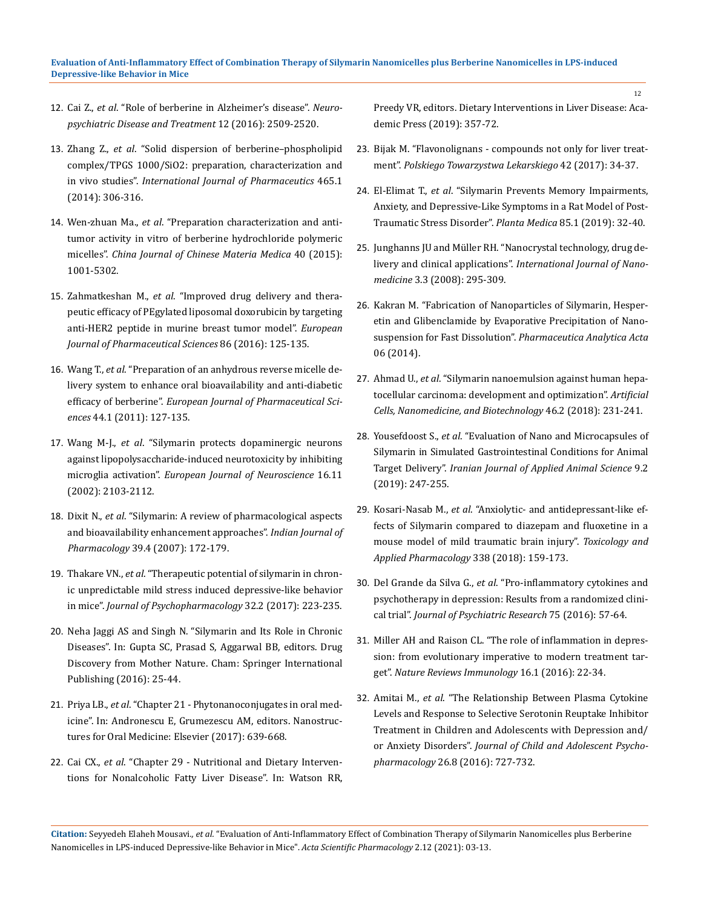- 12. Cai Z., *et al*[. "Role of berberine in Alzheimer's disease".](https://www.ncbi.nlm.nih.gov/pmc/articles/PMC5055107/) *Neuro[psychiatric Disease and Treatment](https://www.ncbi.nlm.nih.gov/pmc/articles/PMC5055107/)* 12 (2016): 2509-2520.
- 13. Zhang Z., *et al*[. "Solid dispersion of berberine–phospholipid](https://pubmed.ncbi.nlm.nih.gov/24456672/)  [complex/TPGS 1000/SiO2: preparation, characterization and](https://pubmed.ncbi.nlm.nih.gov/24456672/)  in vivo studies". *[International Journal of Pharmaceutics](https://pubmed.ncbi.nlm.nih.gov/24456672/)* 465.1 [\(2014\): 306-316.](https://pubmed.ncbi.nlm.nih.gov/24456672/)
- 14. Wen-zhuan Ma., *et al*[. "Preparation characterization and anti](https://pubmed.ncbi.nlm.nih.gov/27071253/)[tumor activity in vitro of berberine hydrochloride polymeric](https://pubmed.ncbi.nlm.nih.gov/27071253/)  micelles". *[China Journal of Chinese Materia Medica](https://pubmed.ncbi.nlm.nih.gov/27071253/)* 40 (2015): [1001-5302.](https://pubmed.ncbi.nlm.nih.gov/27071253/)
- 15. Zahmatkeshan M., *et al*[. "Improved drug delivery and thera](https://pubmed.ncbi.nlm.nih.gov/26972276/)[peutic efficacy of PEgylated liposomal doxorubicin by targeting](https://pubmed.ncbi.nlm.nih.gov/26972276/)  [anti-HER2 peptide in murine breast tumor model".](https://pubmed.ncbi.nlm.nih.gov/26972276/) *European [Journal of Pharmaceutical Sciences](https://pubmed.ncbi.nlm.nih.gov/26972276/)* 86 (2016): 125-135.
- 16. Wang T., *et al*[. "Preparation of an anhydrous reverse micelle de](https://pubmed.ncbi.nlm.nih.gov/21742030/)[livery system to enhance oral bioavailability and anti-diabetic](https://pubmed.ncbi.nlm.nih.gov/21742030/)  efficacy of berberine". *[European Journal of Pharmaceutical Sci](https://pubmed.ncbi.nlm.nih.gov/21742030/)ences* [44.1 \(2011\): 127-135.](https://pubmed.ncbi.nlm.nih.gov/21742030/)
- 17. Wang M-J., *et al*[. "Silymarin protects dopaminergic neurons](https://pubmed.ncbi.nlm.nih.gov/12473078/)  [against lipopolysaccharide-induced neurotoxicity by inhibiting](https://pubmed.ncbi.nlm.nih.gov/12473078/)  microglia activation". *[European Journal of Neuroscience](https://pubmed.ncbi.nlm.nih.gov/12473078/)* 16.11 [\(2002\): 2103-2112.](https://pubmed.ncbi.nlm.nih.gov/12473078/)
- 18. Dixit N., *et al*[. "Silymarin: A review of pharmacological aspects](https://www.researchgate.net/publication/43560460_Silymarin_A_review_of_pharmacological_aspects_and_bioavailability_enhancement_approaches)  [and bioavailability enhancement approaches".](https://www.researchgate.net/publication/43560460_Silymarin_A_review_of_pharmacological_aspects_and_bioavailability_enhancement_approaches) *Indian Journal of Pharmacology* [39.4 \(2007\): 172-179.](https://www.researchgate.net/publication/43560460_Silymarin_A_review_of_pharmacological_aspects_and_bioavailability_enhancement_approaches)
- 19. Thakare VN., *et al*[. "Therapeutic potential of silymarin in chron](https://pubmed.ncbi.nlm.nih.gov/29215318/)[ic unpredictable mild stress induced depressive-like behavior](https://pubmed.ncbi.nlm.nih.gov/29215318/)  in mice". *[Journal of Psychopharmacology](https://pubmed.ncbi.nlm.nih.gov/29215318/)* 32.2 (2017): 223-235.
- 20. Neha Jaggi AS and Singh N. "Silymarin and Its Role in Chronic Diseases". In: Gupta SC, Prasad S, Aggarwal BB, editors. Drug Discovery from Mother Nature. Cham: Springer International Publishing (2016): 25-44.
- 21. Priya LB., *et al*. "Chapter 21 Phytonanoconjugates in oral medicine". In: Andronescu E, Grumezescu AM, editors. Nanostructures for Oral Medicine: Elsevier (2017): 639-668.
- 22. Cai CX., *et al*. "Chapter 29 Nutritional and Dietary Interventions for Nonalcoholic Fatty Liver Disease". In: Watson RR,

Preedy VR, editors. Dietary Interventions in Liver Disease: Academic Press (2019): 357-72.

- 23. [Bijak M. "Flavonolignans compounds not only for liver treat](https://pubmed.ncbi.nlm.nih.gov/28134230/)ment". *[Polskiego Towarzystwa Lekarskiego](https://pubmed.ncbi.nlm.nih.gov/28134230/)* 42 (2017): 34-37.
- 24. El-Elimat T., *et al*[. "Silymarin Prevents Memory Impairments,](https://pubmed.ncbi.nlm.nih.gov/30153692/)  [Anxiety, and Depressive-Like Symptoms in a Rat Model of Post-](https://pubmed.ncbi.nlm.nih.gov/30153692/)[Traumatic Stress Disorder".](https://pubmed.ncbi.nlm.nih.gov/30153692/) *Planta Medica* 85.1 (2019): 32-40.
- 25. [Junghanns JU and Müller RH. "Nanocrystal technology, drug de](https://pubmed.ncbi.nlm.nih.gov/18990939/)livery and clinical applications". *[International Journal of Nano](https://pubmed.ncbi.nlm.nih.gov/18990939/)medicine* [3.3 \(2008\): 295-309.](https://pubmed.ncbi.nlm.nih.gov/18990939/)
- 26. [Kakran M. "Fabrication of Nanoparticles of Silymarin, Hesper](https://www.longdom.org/open-access/fabrication-of-nanoparticles-of-silymarin-hesperetin-and-glibenclamide-by-evaporative-precipitation-of-nanosuspension-2153-2435.1000326.pdf)[etin and Glibenclamide by Evaporative Precipitation of Nano](https://www.longdom.org/open-access/fabrication-of-nanoparticles-of-silymarin-hesperetin-and-glibenclamide-by-evaporative-precipitation-of-nanosuspension-2153-2435.1000326.pdf)suspension for Fast Dissolution". *[Pharmaceutica Analytica Acta](https://www.longdom.org/open-access/fabrication-of-nanoparticles-of-silymarin-hesperetin-and-glibenclamide-by-evaporative-precipitation-of-nanosuspension-2153-2435.1000326.pdf)* [06 \(2014\).](https://www.longdom.org/open-access/fabrication-of-nanoparticles-of-silymarin-hesperetin-and-glibenclamide-by-evaporative-precipitation-of-nanosuspension-2153-2435.1000326.pdf)
- 27. Ahmad U., *et al*[. "Silymarin nanoemulsion against human hepa](https://pubmed.ncbi.nlm.nih.gov/28503949/)[tocellular carcinoma: development and optimization".](https://pubmed.ncbi.nlm.nih.gov/28503949/) *Artificial [Cells, Nanomedicine, and Biotechnology](https://pubmed.ncbi.nlm.nih.gov/28503949/)* 46.2 (2018): 231-241.
- 28. Yousefdoost S., *et al*[. "Evaluation of Nano and Microcapsules of](https://www.researchgate.net/publication/344458521_Evaluation_of_Nano_and_Microcapsules_of_Silymarin_in_Simulated_Gastrointestinal_Conditions_for_Animal_Target_Delivery)  [Silymarin in Simulated Gastrointestinal Conditions for Animal](https://www.researchgate.net/publication/344458521_Evaluation_of_Nano_and_Microcapsules_of_Silymarin_in_Simulated_Gastrointestinal_Conditions_for_Animal_Target_Delivery)  Target Delivery". *[Iranian Journal of Applied Animal Science](https://www.researchgate.net/publication/344458521_Evaluation_of_Nano_and_Microcapsules_of_Silymarin_in_Simulated_Gastrointestinal_Conditions_for_Animal_Target_Delivery)* 9.2 [\(2019\): 247-255.](https://www.researchgate.net/publication/344458521_Evaluation_of_Nano_and_Microcapsules_of_Silymarin_in_Simulated_Gastrointestinal_Conditions_for_Animal_Target_Delivery)
- 29. Kosari-Nasab M., *et al*[. "Anxiolytic- and antidepressant-like ef](https://www.researchgate.net/publication/321259064_Anxiolytic-_and_antidepressant-like_effects_of_Silymarin_compared_to_diazepam_and_fluoxetine_in_a_mouse_model_of_mild_traumatic_brain_injury)[fects of Silymarin compared to diazepam and fluoxetine in a](https://www.researchgate.net/publication/321259064_Anxiolytic-_and_antidepressant-like_effects_of_Silymarin_compared_to_diazepam_and_fluoxetine_in_a_mouse_model_of_mild_traumatic_brain_injury)  [mouse model of mild traumatic brain injury".](https://www.researchgate.net/publication/321259064_Anxiolytic-_and_antidepressant-like_effects_of_Silymarin_compared_to_diazepam_and_fluoxetine_in_a_mouse_model_of_mild_traumatic_brain_injury) *Toxicology and [Applied Pharmacology](https://www.researchgate.net/publication/321259064_Anxiolytic-_and_antidepressant-like_effects_of_Silymarin_compared_to_diazepam_and_fluoxetine_in_a_mouse_model_of_mild_traumatic_brain_injury)* 338 (2018): 159-173.
- 30. Del Grande da Silva G., *et al*[. "Pro-inflammatory cytokines and](https://pubmed.ncbi.nlm.nih.gov/26802811/)  [psychotherapy in depression: Results from a randomized clini](https://pubmed.ncbi.nlm.nih.gov/26802811/)cal trial". *[Journal of Psychiatric Research](https://pubmed.ncbi.nlm.nih.gov/26802811/)* 75 (2016): 57-64.
- 31. [Miller AH and Raison CL. "The role of inflammation in depres](https://www.nature.com/articles/nri.2015.5)[sion: from evolutionary imperative to modern treatment tar](https://www.nature.com/articles/nri.2015.5)get". *[Nature Reviews Immunology](https://www.nature.com/articles/nri.2015.5)* 16.1 (2016): 22-34.
- 32. Amitai M., *et al*[. "The Relationship Between Plasma Cytokine](https://pubmed.ncbi.nlm.nih.gov/26771135/)  [Levels and Response to Selective Serotonin Reuptake Inhibitor](https://pubmed.ncbi.nlm.nih.gov/26771135/)  [Treatment in Children and Adolescents with Depression and/](https://pubmed.ncbi.nlm.nih.gov/26771135/) or Anxiety Disorders". *[Journal of Child and Adolescent Psycho](https://pubmed.ncbi.nlm.nih.gov/26771135/)pharmacology* [26.8 \(2016\): 727-732.](https://pubmed.ncbi.nlm.nih.gov/26771135/)

**Citation:** Seyyedeh Elaheh Mousavi*., et al.* "Evaluation of Anti-Inflammatory Effect of Combination Therapy of Silymarin Nanomicelles plus Berberine Nanomicelles in LPS-induced Depressive-like Behavior in Mice". *Acta Scientific Pharmacology* 2.12 (2021): 03-13.